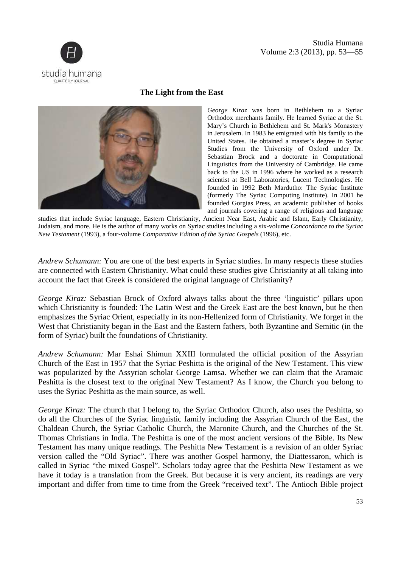

## Studia Humana Volume 2:3 (2013), pp. 53—55

## **The Light from the East**



*George Kiraz* was born in Bethlehem to a Syriac Orthodox merchants family. He learned Syriac at the St. Mary's Church in Bethlehem and St. Mark's Monastery in Jerusalem. In 1983 he emigrated with his family to the United States. He obtained a master's degree in Syriac Studies from the University of Oxford under Dr. Sebastian Brock and a doctorate in Computational Linguistics from the University of Cambridge. He came back to the US in 1996 where he worked as a research scientist at Bell Laboratories, Lucent Technologies. He founded in 1992 Beth Mardutho: The Syriac Institute (formerly The Syriac Computing Institute). In 2001 he founded Gorgias Press, an academic publisher of books and journals covering a range of religious and language

studies that include Syriac language, Eastern Christianity, Ancient Near East, Arabic and Islam, Early Christianity, Judaism, and more. He is the author of many works on Syriac studies including a six-volume *Concordance to the Syriac New Testament* (1993), a four-volume *Comparative Edition of the Syriac Gospels* (1996), etc.

*Andrew Schumann:* You are one of the best experts in Syriac studies. In many respects these studies are connected with Eastern Christianity. What could these studies give Christianity at all taking into account the fact that Greek is considered the original language of Christianity?

*George Kiraz:* Sebastian Brock of Oxford always talks about the three 'linguistic' pillars upon which Christianity is founded: The Latin West and the Greek East are the best known, but he then emphasizes the Syriac Orient, especially in its non-Hellenized form of Christianity. We forget in the West that Christianity began in the East and the Eastern fathers, both Byzantine and Semitic (in the form of Syriac) built the foundations of Christianity.

*Andrew Schumann:* Mar Eshai Shimun XXIII formulated the official position of the Assyrian Church of the East in 1957 that the Syriac Peshitta is the original of the New Testament. This view was popularized by the Assyrian scholar George Lamsa. Whether we can claim that the Aramaic Peshitta is the closest text to the original New Testament? As I know, the Church you belong to uses the Syriac Peshitta as the main source, as well.

*George Kiraz:* The church that I belong to, the Syriac Orthodox Church, also uses the Peshitta, so do all the Churches of the Syriac linguistic family including the Assyrian Church of the East, the Chaldean Church, the Syriac Catholic Church, the Maronite Church, and the Churches of the St. Thomas Christians in India. The Peshitta is one of the most ancient versions of the Bible. Its New Testament has many unique readings. The Peshitta New Testament is a revision of an older Syriac version called the "Old Syriac". There was another Gospel harmony, the Diattessaron, which is called in Syriac "the mixed Gospel". Scholars today agree that the Peshitta New Testament as we have it today is a translation from the Greek. But because it is very ancient, its readings are very important and differ from time to time from the Greek "received text". The Antioch Bible project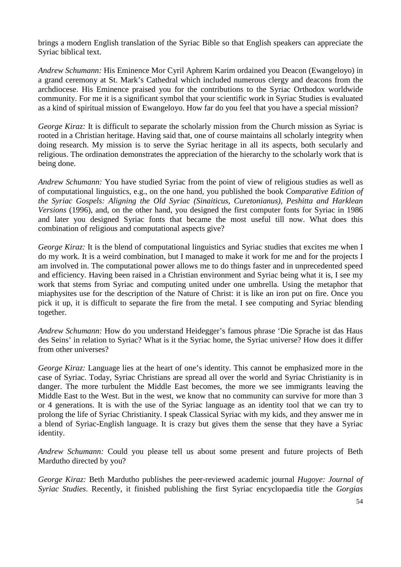brings a modern English translation of the Syriac Bible so that English speakers can appreciate the Syriac biblical text.

*Andrew Schumann:* His Eminence Mor Cyril Aphrem Karim ordained you Deacon (Ewangeloyo) in a grand ceremony at St. Mark's Cathedral which included numerous clergy and deacons from the archdiocese. His Eminence praised you for the contributions to the Syriac Orthodox worldwide community. For me it is a significant symbol that your scientific work in Syriac Studies is evaluated as a kind of spiritual mission of Ewangeloyo. How far do you feel that you have a special mission?

*George Kiraz:* It is difficult to separate the scholarly mission from the Church mission as Syriac is rooted in a Christian heritage. Having said that, one of course maintains all scholarly integrity when doing research. My mission is to serve the Syriac heritage in all its aspects, both secularly and religious. The ordination demonstrates the appreciation of the hierarchy to the scholarly work that is being done.

*Andrew Schumann:* You have studied Syriac from the point of view of religious studies as well as of computational linguistics, e.g., on the one hand, you published the book *Comparative Edition of the Syriac Gospels: Aligning the Old Syriac (Sinaiticus, Curetonianus), Peshitta and Harklean Versions* (1996), and, on the other hand, you designed the first computer fonts for Syriac in 1986 and later you designed Syriac fonts that became the most useful till now. What does this combination of religious and computational aspects give?

*George Kiraz:* It is the blend of computational linguistics and Syriac studies that excites me when I do my work. It is a weird combination, but I managed to make it work for me and for the projects I am involved in. The computational power allows me to do things faster and in unprecedented speed and efficiency. Having been raised in a Christian environment and Syriac being what it is, I see my work that stems from Syriac and computing united under one umbrella. Using the metaphor that miaphysites use for the description of the Nature of Christ: it is like an iron put on fire. Once you pick it up, it is difficult to separate the fire from the metal. I see computing and Syriac blending together.

*Andrew Schumann:* How do you understand Heidegger's famous phrase 'Die Sprache ist das Haus des Seins' in relation to Syriac? What is it the Syriac home, the Syriac universe? How does it differ from other universes?

*George Kiraz:* Language lies at the heart of one's identity. This cannot be emphasized more in the case of Syriac. Today, Syriac Christians are spread all over the world and Syriac Christianity is in danger. The more turbulent the Middle East becomes, the more we see immigrants leaving the Middle East to the West. But in the west, we know that no community can survive for more than 3 or 4 generations. It is with the use of the Syriac language as an identity tool that we can try to prolong the life of Syriac Christianity. I speak Classical Syriac with my kids, and they answer me in a blend of Syriac-English language. It is crazy but gives them the sense that they have a Syriac identity.

*Andrew Schumann:* Could you please tell us about some present and future projects of Beth Mardutho directed by you?

*George Kiraz:* Beth Mardutho publishes the peer-reviewed academic journal *Hugoye: Journal of Syriac Studies*. Recently, it finished publishing the first Syriac encyclopaedia title the *Gorgias*